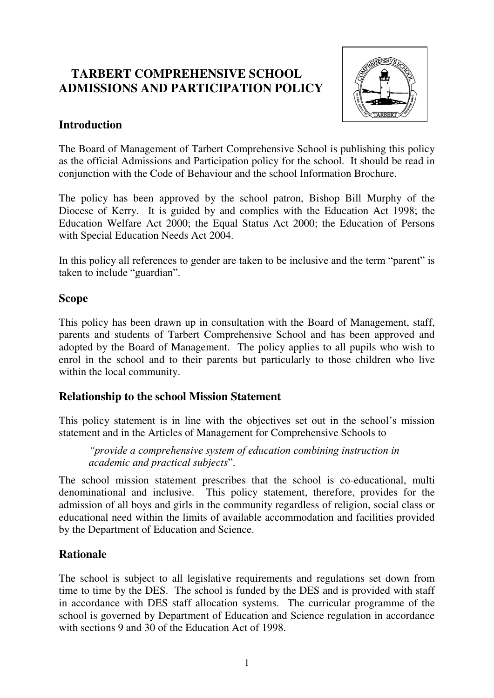# **TARBERT COMPREHENSIVE SCHOOL ADMISSIONS AND PARTICIPATION POLICY**



### **Introduction**

The Board of Management of Tarbert Comprehensive School is publishing this policy as the official Admissions and Participation policy for the school. It should be read in conjunction with the Code of Behaviour and the school Information Brochure.

The policy has been approved by the school patron, Bishop Bill Murphy of the Diocese of Kerry. It is guided by and complies with the Education Act 1998; the Education Welfare Act 2000; the Equal Status Act 2000; the Education of Persons with Special Education Needs Act 2004.

In this policy all references to gender are taken to be inclusive and the term "parent" is taken to include "guardian".

### **Scope**

This policy has been drawn up in consultation with the Board of Management, staff, parents and students of Tarbert Comprehensive School and has been approved and adopted by the Board of Management. The policy applies to all pupils who wish to enrol in the school and to their parents but particularly to those children who live within the local community.

### **Relationship to the school Mission Statement**

This policy statement is in line with the objectives set out in the school's mission statement and in the Articles of Management for Comprehensive Schools to

*"provide a comprehensive system of education combining instruction in academic and practical subjects*".

The school mission statement prescribes that the school is co-educational, multi denominational and inclusive. This policy statement, therefore, provides for the admission of all boys and girls in the community regardless of religion, social class or educational need within the limits of available accommodation and facilities provided by the Department of Education and Science.

## **Rationale**

The school is subject to all legislative requirements and regulations set down from time to time by the DES. The school is funded by the DES and is provided with staff in accordance with DES staff allocation systems. The curricular programme of the school is governed by Department of Education and Science regulation in accordance with sections 9 and 30 of the Education Act of 1998.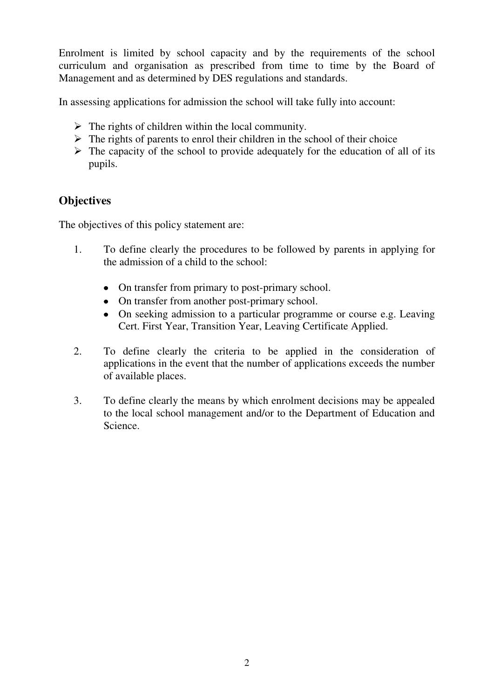Enrolment is limited by school capacity and by the requirements of the school curriculum and organisation as prescribed from time to time by the Board of Management and as determined by DES regulations and standards.

In assessing applications for admission the school will take fully into account:

- $\triangleright$  The rights of children within the local community.
- $\triangleright$  The rights of parents to enrol their children in the school of their choice
- $\triangleright$  The capacity of the school to provide adequately for the education of all of its pupils.

# **Objectives**

The objectives of this policy statement are:

- 1. To define clearly the procedures to be followed by parents in applying for the admission of a child to the school:
	- On transfer from primary to post-primary school.
	- On transfer from another post-primary school.
	- On seeking admission to a particular programme or course e.g. Leaving Cert. First Year, Transition Year, Leaving Certificate Applied.
- 2. To define clearly the criteria to be applied in the consideration of applications in the event that the number of applications exceeds the number of available places.
- 3. To define clearly the means by which enrolment decisions may be appealed to the local school management and/or to the Department of Education and Science.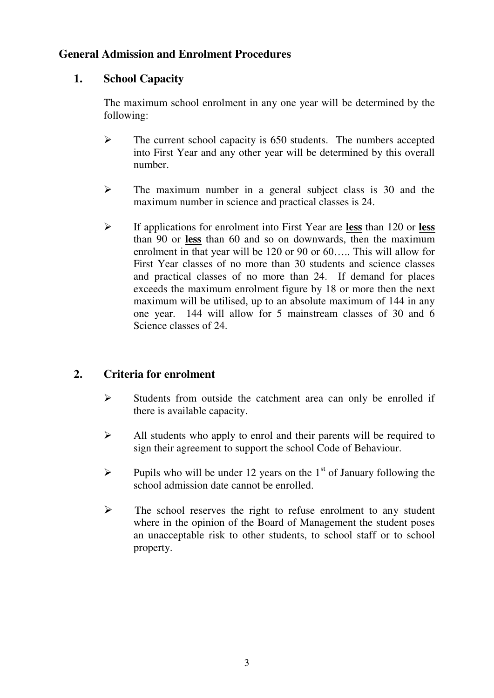### **General Admission and Enrolment Procedures**

### **1. School Capacity**

The maximum school enrolment in any one year will be determined by the following:

- $\triangleright$  The current school capacity is 650 students. The numbers accepted into First Year and any other year will be determined by this overall number.
- $\triangleright$  The maximum number in a general subject class is 30 and the maximum number in science and practical classes is 24.
- If applications for enrolment into First Year are **less** than 120 or **less** than 90 or **less** than 60 and so on downwards, then the maximum enrolment in that year will be 120 or 90 or 60….. This will allow for First Year classes of no more than 30 students and science classes and practical classes of no more than 24. If demand for places exceeds the maximum enrolment figure by 18 or more then the next maximum will be utilised, up to an absolute maximum of 144 in any one year. 144 will allow for 5 mainstream classes of 30 and 6 Science classes of 24.

## **2. Criteria for enrolment**

- $\triangleright$  Students from outside the catchment area can only be enrolled if there is available capacity.
- $\triangleright$  All students who apply to enrol and their parents will be required to sign their agreement to support the school Code of Behaviour.
- $\triangleright$  Pupils who will be under 12 years on the 1<sup>st</sup> of January following the school admission date cannot be enrolled.
- $\triangleright$  The school reserves the right to refuse enrolment to any student where in the opinion of the Board of Management the student poses an unacceptable risk to other students, to school staff or to school property.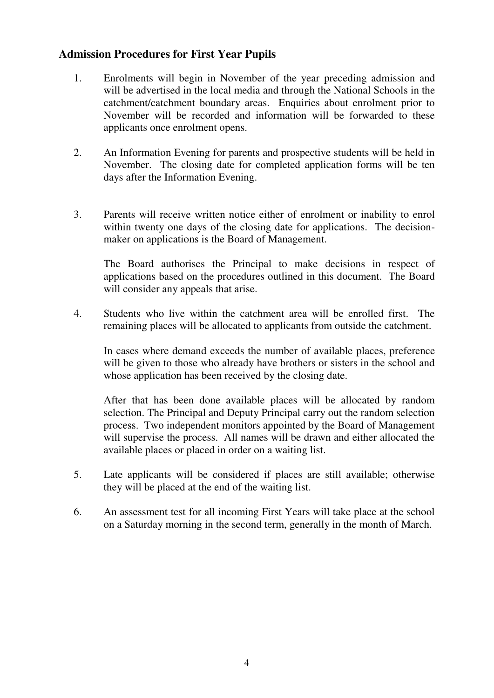### **Admission Procedures for First Year Pupils**

- 1. Enrolments will begin in November of the year preceding admission and will be advertised in the local media and through the National Schools in the catchment/catchment boundary areas. Enquiries about enrolment prior to November will be recorded and information will be forwarded to these applicants once enrolment opens.
- 2. An Information Evening for parents and prospective students will be held in November. The closing date for completed application forms will be ten days after the Information Evening.
- 3. Parents will receive written notice either of enrolment or inability to enrol within twenty one days of the closing date for applications. The decisionmaker on applications is the Board of Management.

The Board authorises the Principal to make decisions in respect of applications based on the procedures outlined in this document. The Board will consider any appeals that arise.

4. Students who live within the catchment area will be enrolled first. The remaining places will be allocated to applicants from outside the catchment.

In cases where demand exceeds the number of available places, preference will be given to those who already have brothers or sisters in the school and whose application has been received by the closing date.

After that has been done available places will be allocated by random selection. The Principal and Deputy Principal carry out the random selection process. Two independent monitors appointed by the Board of Management will supervise the process. All names will be drawn and either allocated the available places or placed in order on a waiting list.

- 5. Late applicants will be considered if places are still available; otherwise they will be placed at the end of the waiting list.
- 6. An assessment test for all incoming First Years will take place at the school on a Saturday morning in the second term, generally in the month of March.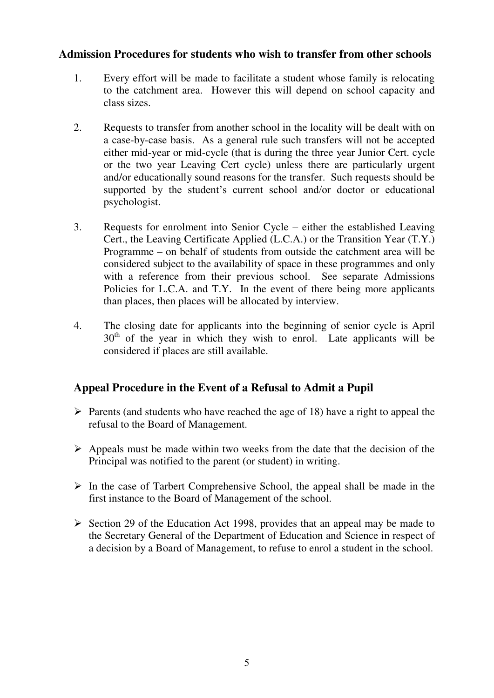#### **Admission Procedures for students who wish to transfer from other schools**

- 1. Every effort will be made to facilitate a student whose family is relocating to the catchment area. However this will depend on school capacity and class sizes.
- 2. Requests to transfer from another school in the locality will be dealt with on a case-by-case basis. As a general rule such transfers will not be accepted either mid-year or mid-cycle (that is during the three year Junior Cert. cycle or the two year Leaving Cert cycle) unless there are particularly urgent and/or educationally sound reasons for the transfer. Such requests should be supported by the student's current school and/or doctor or educational psychologist.
- 3. Requests for enrolment into Senior Cycle either the established Leaving Cert., the Leaving Certificate Applied (L.C.A.) or the Transition Year (T.Y.) Programme – on behalf of students from outside the catchment area will be considered subject to the availability of space in these programmes and only with a reference from their previous school. See separate Admissions Policies for L.C.A. and T.Y. In the event of there being more applicants than places, then places will be allocated by interview.
- 4. The closing date for applicants into the beginning of senior cycle is April  $30<sup>th</sup>$  of the year in which they wish to enrol. Late applicants will be considered if places are still available.

## **Appeal Procedure in the Event of a Refusal to Admit a Pupil**

- $\triangleright$  Parents (and students who have reached the age of 18) have a right to appeal the refusal to the Board of Management.
- $\triangleright$  Appeals must be made within two weeks from the date that the decision of the Principal was notified to the parent (or student) in writing.
- $\triangleright$  In the case of Tarbert Comprehensive School, the appeal shall be made in the first instance to the Board of Management of the school.
- $\triangleright$  Section 29 of the Education Act 1998, provides that an appeal may be made to the Secretary General of the Department of Education and Science in respect of a decision by a Board of Management, to refuse to enrol a student in the school.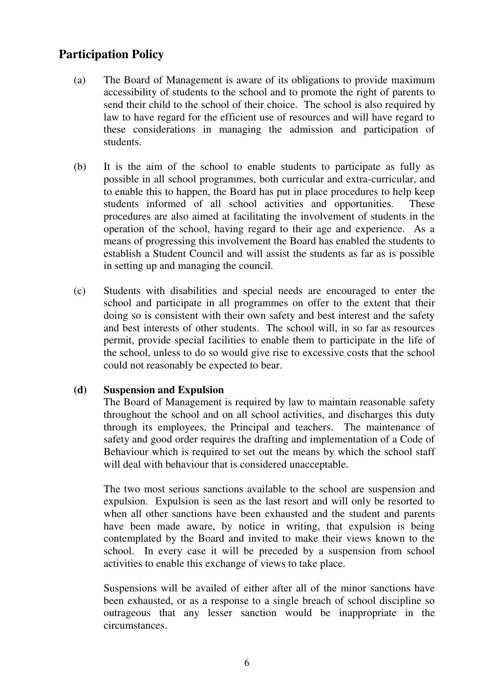## **Participation Policy**

- (a) The Board of Management is aware of its obligations to provide maximum accessibility of students to the school and to promote the right of parents to send their child to the school of their choice. The school is also required by law to have regard for the efficient use of resources and will have regard to these considerations in managing the admission and participation of students.
- (b) It is the aim of the school to enable students to participate as fully as possible in all school programmes, both curricular and extra-curricular, and to enable this to happen, the Board has put in place procedures to help keep students informed of all school activities and opportunities. These procedures are also aimed at facilitating the involvement of students in the operation of the school, having regard to their age and experience. As a means of progressing this involvement the Board has enabled the students to establish a Student Council and will assist the students as far as is possible in setting up and managing the council.
- (c) Students with disabilities and special needs are encouraged to enter the school and participate in all programmes on offer to the extent that their doing so is consistent with their own safety and best interest and the safety and best interests of other students. The school will, in so far as resources permit, provide special facilities to enable them to participate in the life of the school, unless to do so would give rise to excessive costs that the school could not reasonably be expected to bear.

#### **(d) Suspension and Expulsion**

The Board of Management is required by law to maintain reasonable safety throughout the school and on all school activities, and discharges this duty through its employees, the Principal and teachers. The maintenance of safety and good order requires the drafting and implementation of a Code of Behaviour which is required to set out the means by which the school staff will deal with behaviour that is considered unacceptable.

The two most serious sanctions available to the school are suspension and expulsion. Expulsion is seen as the last resort and will only be resorted to when all other sanctions have been exhausted and the student and parents have been made aware, by notice in writing, that expulsion is being contemplated by the Board and invited to make their views known to the school. In every case it will be preceded by a suspension from school activities to enable this exchange of views to take place.

Suspensions will be availed of either after all of the minor sanctions have been exhausted, or as a response to a single breach of school discipline so outrageous that any lesser sanction would be inappropriate in the circumstances.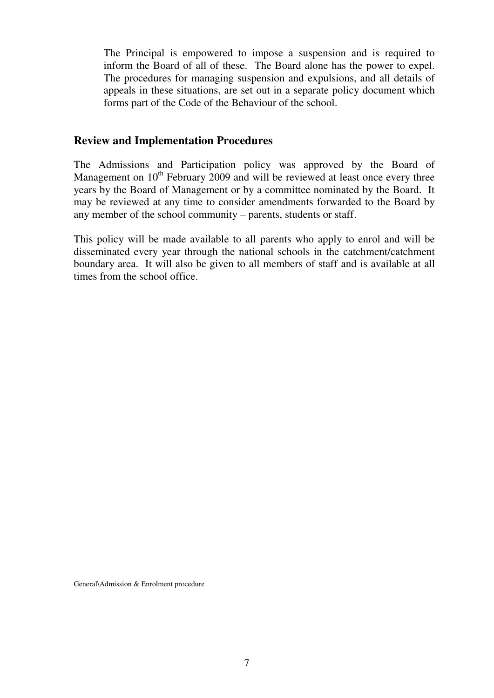The Principal is empowered to impose a suspension and is required to inform the Board of all of these. The Board alone has the power to expel. The procedures for managing suspension and expulsions, and all details of appeals in these situations, are set out in a separate policy document which forms part of the Code of the Behaviour of the school.

#### **Review and Implementation Procedures**

The Admissions and Participation policy was approved by the Board of Management on  $10<sup>th</sup>$  February 2009 and will be reviewed at least once every three years by the Board of Management or by a committee nominated by the Board. It may be reviewed at any time to consider amendments forwarded to the Board by any member of the school community – parents, students or staff.

This policy will be made available to all parents who apply to enrol and will be disseminated every year through the national schools in the catchment/catchment boundary area. It will also be given to all members of staff and is available at all times from the school office.

General\Admission & Enrolment procedure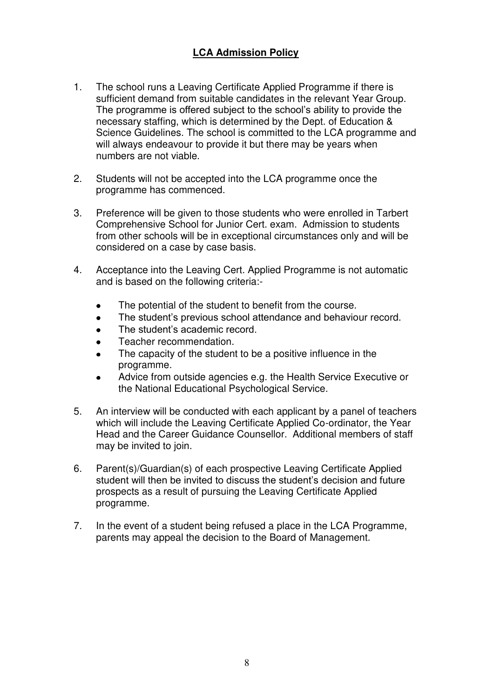### **LCA Admission Policy**

- 1. The school runs a Leaving Certificate Applied Programme if there is sufficient demand from suitable candidates in the relevant Year Group. The programme is offered subject to the school's ability to provide the necessary staffing, which is determined by the Dept. of Education & Science Guidelines. The school is committed to the LCA programme and will always endeavour to provide it but there may be years when numbers are not viable.
- 2. Students will not be accepted into the LCA programme once the programme has commenced.
- 3. Preference will be given to those students who were enrolled in Tarbert Comprehensive School for Junior Cert. exam. Admission to students from other schools will be in exceptional circumstances only and will be considered on a case by case basis.
- 4. Acceptance into the Leaving Cert. Applied Programme is not automatic and is based on the following criteria:-
	- The potential of the student to benefit from the course.
	- The student's previous school attendance and behaviour record.
	- The student's academic record.
	- Teacher recommendation.
	- The capacity of the student to be a positive influence in the programme.
	- Advice from outside agencies e.g. the Health Service Executive or the National Educational Psychological Service.
- 5. An interview will be conducted with each applicant by a panel of teachers which will include the Leaving Certificate Applied Co-ordinator, the Year Head and the Career Guidance Counsellor. Additional members of staff may be invited to join.
- 6. Parent(s)/Guardian(s) of each prospective Leaving Certificate Applied student will then be invited to discuss the student's decision and future prospects as a result of pursuing the Leaving Certificate Applied programme.
- 7. In the event of a student being refused a place in the LCA Programme, parents may appeal the decision to the Board of Management.